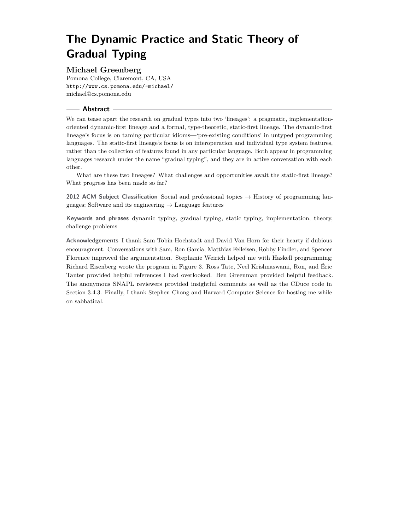# **Michael Greenberg**

Pomona College, Claremont, CA, USA <http://www.cs.pomona.edu/~michael/> [michael@cs.pomona.edu](mailto:michael@cs.pomona.edu)

## **Abstract**

We can tease apart the research on gradual types into two 'lineages': a pragmatic, implementationoriented dynamic-first lineage and a formal, type-theoretic, static-first lineage. The dynamic-first lineage's focus is on taming particular idioms—'pre-existing conditions' in untyped programming languages. The static-first lineage's focus is on interoperation and individual type system features, rather than the collection of features found in any particular language. Both appear in programming languages research under the name "gradual typing", and they are in active conversation with each other.

What are these two lineages? What challenges and opportunities await the static-first lineage? What progress has been made so far?

**2012 ACM Subject Classification** Social and professional topics → History of programming languages; Software and its engineering  $\rightarrow$  Language features

**Keywords and phrases** dynamic typing, gradual typing, static typing, implementation, theory, challenge problems

**Acknowledgements** I thank Sam Tobin-Hochstadt and David Van Horn for their hearty if dubious encouragment. Conversations with Sam, Ron Garcia, Matthias Felleisen, Robby Findler, and Spencer Florence improved the argumentation. Stephanie Weirich helped me with Haskell programming; Richard Eisenberg wrote the program in Figure [3.](#page-10-0) Ross Tate, Neel Krishnaswami, Ron, and Éric Tanter provided helpful references I had overlooked. Ben Greenman provided helpful feedback. The anonymous SNAPL reviewers provided insightful comments as well as the CDuce code in Section [3.4.3.](#page-10-1) Finally, I thank Stephen Chong and Harvard Computer Science for hosting me while on sabbatical.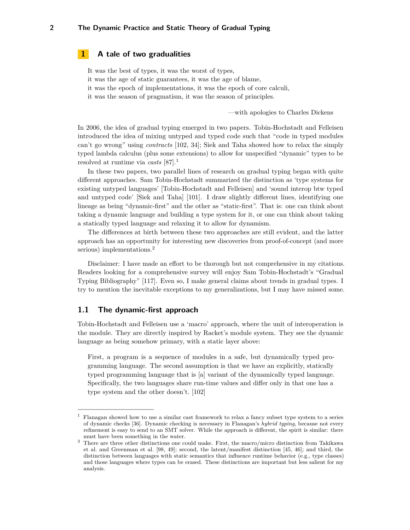# **1 A tale of two gradualities**

It was the best of types, it was the worst of types,

- it was the age of static guarantees, it was the age of blame,
- it was the epoch of implementations, it was the epoch of core calculi,
- it was the season of pragmatism, it was the season of principles.

—with apologies to Charles Dickens

In 2006, the idea of gradual typing emerged in two papers. Tobin-Hochstadt and Felleisen introduced the idea of mixing untyped and typed code such that "code in typed modules can't go wrong" using *contracts* [\[102,](#page-18-0) [34\]](#page-14-0); Siek and Taha showed how to relax the simply typed lambda calculus (plus some extensions) to allow for unspecified "dynamic" types to be resolved at runtime via *casts* [\[87\]](#page-17-0).[1](#page-1-0)

In these two papers, two parallel lines of research on gradual typing began with quite different approaches. Sam Tobin-Hochstadt summarized the distinction as 'type systems for existing untyped languages' [Tobin-Hochstadt and Felleisen] and 'sound interop btw typed and untyped code' [Siek and Taha] [\[101\]](#page-18-1). I draw slightly different lines, identifying one lineage as being "dynamic-first" and the other as "static-first". That is: one can think about taking a dynamic language and building a type system for it, or one can think about taking a statically typed language and relaxing it to allow for dynamism.

The differences at birth between these two approaches are still evident, and the latter approach has an opportunity for interesting new discoveries from proof-of-concept (and more serious) implementations.<sup>[2](#page-1-1)</sup>

Disclaimer: I have made an effort to be thorough but not comprehensive in my citations. Readers looking for a comprehensive survey will enjoy Sam Tobin-Hochstadt's "Gradual Typing Bibliography" [\[117\]](#page-19-0). Even so, I make general claims about trends in gradual types. I try to mention the inevitable exceptions to my generalizations, but I may have missed some.

# **1.1 The dynamic-first approach**

Tobin-Hochstadt and Felleisen use a 'macro' approach, where the unit of interoperation is the module. They are directly inspired by Racket's module system. They see the dynamic language as being somehow primary, with a static layer above:

First, a program is a sequence of modules in a safe, but dynamically typed programming language. The second assumption is that we have an explicitly, statically typed programming language that is [a] variant of the dynamically typed language. Specifically, the two languages share run-time values and differ only in that one has a type system and the other doesn't. [\[102\]](#page-18-0)

<span id="page-1-0"></span><sup>&</sup>lt;sup>1</sup> Flanagan showed how to use a similar cast framework to relax a fancy subset type system to a series of dynamic checks [\[36\]](#page-15-0). Dynamic checking is necessary in Flanagan's *hybrid typing*, because not every refinement is easy to send to an SMT solver. While the approach is different, the spirit is similar: there must have been something in the water.

<span id="page-1-1"></span><sup>&</sup>lt;sup>2</sup> There are three other distinctions one could make. First, the macro/micro distinction from Takikawa et al. and Greenman et al. [\[98,](#page-18-2) [49\]](#page-15-1); second, the latent/manifest distinction [\[45,](#page-15-2) [46\]](#page-15-3); and third, the distinction between languages with static semantics that influence runtime behavior (e.g., type classes) and those languages where types can be erased. These distinctions are important but less salient for my analysis.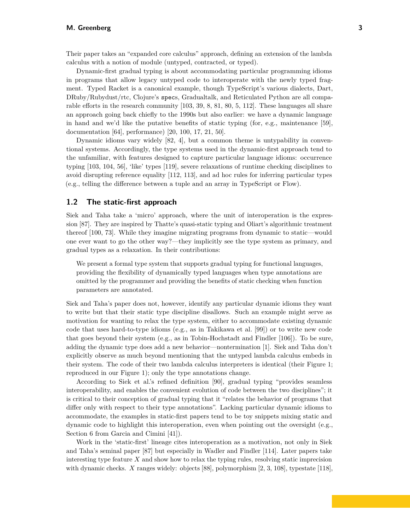Their paper takes an "expanded core calculus" approach, defining an extension of the lambda calculus with a notion of module (untyped, contracted, or typed).

Dynamic-first gradual typing is about accommodating particular programming idioms in programs that allow legacy untyped code to interoperate with the newly typed fragment. Typed Racket is a canonical example, though TypeScript's various dialects, Dart, DRuby/Rubydust/rtc, Clojure's specs, Gradualtalk, and Reticulated Python are all comparable efforts in the research community [\[103,](#page-18-3) [39,](#page-15-4) [8,](#page-13-0) [81,](#page-17-1) [80,](#page-17-2) [5,](#page-13-1) [112\]](#page-19-1). These languages all share an approach going back chiefly to the 1990s but also earlier: we have a dynamic language in hand and we'd like the putative benefits of static typing (for, e.g., maintenance [\[59\]](#page-16-0), documentation [\[64\]](#page-16-1), performance) [\[20,](#page-14-1) [100,](#page-18-4) [17,](#page-14-2) [21,](#page-14-3) [50\]](#page-15-5).

Dynamic idioms vary widely [\[82,](#page-17-3) [4\]](#page-13-2), but a common theme is untypability in conventional systems. Accordingly, the type systems used in the dynamic-first approach tend to the unfamiliar, with features designed to capture particular language idioms: occurrence typing [\[103,](#page-18-3) [104,](#page-18-5) [56\]](#page-15-6), 'like' types [\[119\]](#page-19-2), severe relaxations of runtime checking disciplines to avoid disrupting reference equality [\[112,](#page-19-1) [113\]](#page-19-3), and ad hoc rules for inferring particular types (e.g., telling the difference between a tuple and an array in TypeScript or Flow).

# **1.2 The static-first approach**

Siek and Taha take a 'micro' approach, where the unit of interoperation is the expression [\[87\]](#page-17-0). They are inspired by Thatte's quasi-static typing and Oliart's algorithmic treatment thereof [\[100,](#page-18-4) [73\]](#page-16-2). While they imagine migrating programs from dynamic to static—would one ever want to go the other way?—they implicitly see the type system as primary, and gradual types as a relaxation. In their contributions:

We present a formal type system that supports gradual typing for functional languages, providing the flexibility of dynamically typed languages when type annotations are omitted by the programmer and providing the benefits of static checking when function parameters are annotated.

Siek and Taha's paper does not, however, identify any particular dynamic idioms they want to write but that their static type discipline disallows. Such an example might serve as motivation for wanting to relax the type system, either to accommodate existing dynamic code that uses hard-to-type idioms (e.g., as in Takikawa et al. [\[99\]](#page-18-6)) or to write new code that goes beyond their system (e.g., as in Tobin-Hochstadt and Findler [\[106\]](#page-18-7)). To be sure, adding the dynamic type does add a new behavior—nontermination [\[1\]](#page-13-3). Siek and Taha don't explicitly observe as much beyond mentioning that the untyped lambda calculus embeds in their system. The code of their two lambda calculus interpreters is identical (their Figure 1; reproduced in our Figure [1\)](#page-3-0); only the type annotations change.

According to Siek et al.'s refined definition [\[90\]](#page-17-4), gradual typing "provides seamless interoperability, and enables the convenient evolution of code between the two disciplines"; it is critical to their conception of gradual typing that it "relates the behavior of programs that differ only with respect to their type annotations". Lacking particular dynamic idioms to accommodate, the examples in static-first papers tend to be toy snippets mixing static and dynamic code to highlight this interoperation, even when pointing out the oversight (e.g., Section 6 from Garcia and Cimini [\[41\]](#page-15-7)).

Work in the 'static-first' lineage cites interoperation as a motivation, not only in Siek and Taha's seminal paper [\[87\]](#page-17-0) but especially in Wadler and Findler [\[114\]](#page-19-4). Later papers take interesting type feature  $X$  and show how to relax the typing rules, resolving static imprecision with dynamic checks. *X* ranges widely: objects [\[88\]](#page-17-5), polymorphism [\[2,](#page-13-4) [3,](#page-13-5) [108\]](#page-19-5), typestate [\[118\]](#page-19-6),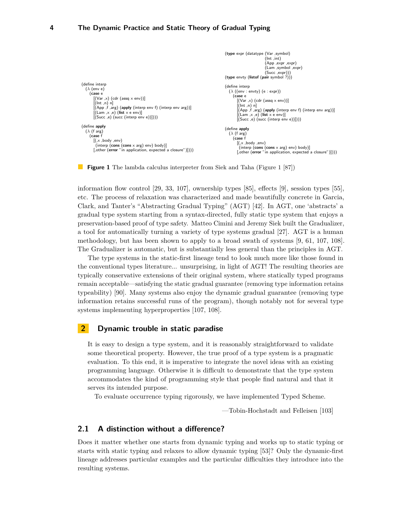```
(define interp
  (\lambda (env e)
    (case e
       [(Var, x) (cdr (assq x env))][(Int ,n) n]
        [(App f, arg) (apply (interp env f) (interp env arg))][(Lam ,x ,e) (list x e env)]
[(Succ ,e) (succ (interp env e))])))
(define apply
   (\lambda \text{ (f arg)})(\text{case f})[(,x ,body ,env)
         (interp (cons (cons \times arg) env) body)][,other (error "in application, expected a closure")])))
                                                                                              (type expr (datatype (Var ,symbol)
                                                                                                                         (int \text{ int})(App ,expr ,expr)
                                                                                                                         (Lam ,symbol ,expr)
                                                                                                                         (Succ .expr))(type envty (listof (pair symbol \hat{i})))
                                                                                              (define interp
                                                                                                (\lambda ((env : env) (e : expr))(case e
                                                                                                      (Cx - x) (cdr (assq x env))]
                                                                                                      [(Int ,n) n]
[(App ,f ,arg) (apply (interp env f) (interp env arg))]
[(Lam ,x ,e) (list x e env)]
                                                                                                      [(Succ ,e) (succ (interp env e))])))
                                                                                              (define apply
                                                                                                (\lambda (f arg)
                                                                                                   (case f
                                                                                                     [(,x ,body ,env)
                                                                                                       (interp (cons (cons \times arg) env) body)][,other (error "in application, expected a closure")])))
```
**Figure 1** The lambda calculus interpreter from Siek and Taha (Figure 1 [\[87\]](#page-17-0))

information flow control [\[29,](#page-14-4) [33,](#page-14-5) [107\]](#page-18-8), ownership types [\[85\]](#page-17-6), effects [\[9\]](#page-13-6), session types [\[55\]](#page-15-8), the Gradual term of the Gradual typics,  $\frac{1}{2}$ ,  $\frac{1}{2}$ ,  $\frac{1}{2}$ ,  $\frac{1}{2}$ ,  $\frac{1}{2}$ ,  $\frac{1}{2}$ ,  $\frac{1}{2}$ ,  $\frac{1}{2}$ ,  $\frac{1}{2}$ ,  $\frac{1}{2}$ ,  $\frac{1}{2}$ ,  $\frac{1}{2}$ ,  $\frac{1}{2}$ ,  $\frac{1}{2}$ ,  $\frac{1}{2}$ ,  $\frac{1}{2}$ ,  $\frac{1$ clark, and Tanter's "Abstracting Gradual Typing" (AGT) [\[42\]](#page-15-9). In AGT, one 'abstracts' a gradual type system starting from a syntax-directed, fully static type system that enjoys a preservation-based proof of type safety. Matteo Cimini and Jeremy Siek built the Gradualizer, a tool for automatically turning a variety of type systems gradual  $[27]$ . AGT is a human methodology, but has been shown to apply to a broad swath of systems [\[9,](#page-13-6) [61,](#page-16-3) [107,](#page-18-8) [108\]](#page-19-5). The Gradualizer is automatic, but is substantially less general than the principles in AGT.

The type gratems in the stat The cype systems in the static line line the conventional types literature... unsurprising, in light of AGT! The resulting theories are typically conservative extensions of their original system, where statically typed programs remain acceptable—satisfying the static gradual guarantee (removing type information retains  $\frac{1}{2}$  computed  $\frac{1}{2}$  and  $\frac{1}{2}$  and  $\frac{1}{2}$  are  $\frac{1}{2}$  and  $\frac{1}{2}$  are  $\frac{1}{2}$  and  $\frac{1}{2}$  are  $\frac{1}{2}$  and  $\frac{1}{2}$  are  $\frac{1}{2}$  and  $\frac{1}{2}$  are  $\frac{1}{2}$  and  $\frac{1}{2}$  are  $\frac{1}{2}$  and  $\frac{1}{$ information retains successful runs of the  $\,$ systems implementing hyperproperties [\[107,](#page-18-8) [108\]](#page-19-5). The proofs of the lemmas and theorems in this paper were writ- $_{\text{tond}}$  to look much more The type systems in the static-first lineage tend to look much more like those found in  $\frac{1}{2}$  dynamically type and  $\frac{1}{2}$  are by default assigned the type  $\frac{1}{2}$  and  $\frac{1}{2}$  are building type  $\frac{1}{2}$  and  $\frac{1}{2}$  are building type  $\frac{1}{2}$  and  $\frac{1}{2}$  and  $\frac{1}{2}$  and  $\frac{1}{2}$  and  $\frac{1}{2$ information retains successful runs of the program), though notably not for several type  $\mathbf{S}$ . inconsistencies in the known parts of types. For example, the pro-

#### **2 Dynamic trouble in static paradise**  $\mathbf{G}$  : number (succession)  $\mathbf{G}$  ; regularized by  $\mathbf{G}$

It is easy to design a type system, and some theoretical property. However, the true proof of a type system is a pragmatic  $\alpha$  and  $\alpha$  intervention. programming language. Otherwise it is difficult to demonstrate that the type system  $\frac{1}{2}$ accommodates the kind of programming style that people find natural and that it serves its intended purpose. It is easy to design a type system, and it is reasonably straightforward to validate evaluation. To this end, it is imperative to integrate the novel ideas with an existing

To evaluate occurrence typing rigorously, we have implemented Typed Scheme.

—Tobin-Hochstadt and Felleisen [\[103\]](#page-18-3)

# **2.1 A distinction without a difference?**

Does it matter whether one starts from dynamic typing and works up to static typing or starts with static typing and relaxes to allow dynamic typing [\[53\]](#page-15-10)? Only the dynamic-first lineage addresses particular examples and the particular difficulties they introduce into the resulting systems.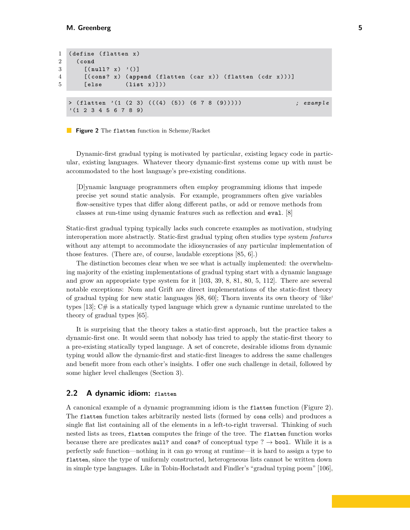```
1 ( define (flatten x)
2 ( cond
3 [(null? x) '()]
4 [( cons ? x ) ( append ( flatten ( car x )) ( flatten ( cdr x )))]
5 [ else ( list x )]))
  > ( flatten '(1 (2 3) (((4) (5)) (6 7 8 (9))))) ; example
  '(1 2 3 4 5 6 7 8 9)
```
**Figure 2** The flatten function in Scheme/Racket

Dynamic-first gradual typing is motivated by particular, existing legacy code in particular, existing languages. Whatever theory dynamic-first systems come up with must be accommodated to the host language's pre-existing conditions.

[D]ynamic language programmers often employ programming idioms that impede precise yet sound static analysis. For example, programmers often give variables flow-sensitive types that differ along different paths, or add or remove methods from classes at run-time using dynamic features such as reflection and eval. [\[8\]](#page-13-0)

Static-first gradual typing typically lacks such concrete examples as motivation, studying interoperation more abstractly. Static-first gradual typing often studies type system *features* without any attempt to accommodate the idiosyncrasies of any particular implementation of those features. (There are, of course, laudable exceptions [\[85,](#page-17-6) [6\]](#page-13-7).)

The distinction becomes clear when we see what is actually implemented: the overwhelming majority of the existing implementations of gradual typing start with a dynamic language and grow an appropriate type system for it [\[103,](#page-18-3) [39,](#page-15-4) [8,](#page-13-0) [81,](#page-17-1) [80,](#page-17-2) [5,](#page-13-1) [112\]](#page-19-1). There are several notable exceptions: Nom and Grift are direct implementations of the static-first theory of gradual typing for new static languages [\[68,](#page-16-4) [60\]](#page-16-5); Thorn invents its own theory of 'like' types  $[13]$ ;  $C\#$  is a statically typed language which grew a dynamic runtime unrelated to the theory of gradual types [\[65\]](#page-16-6).

It is surprising that the theory takes a static-first approach, but the practice takes a dynamic-first one. It would seem that nobody has tried to apply the static-first theory to a pre-existing statically typed language. A set of concrete, desirable idioms from dynamic typing would allow the dynamic-first and static-first lineages to address the same challenges and benefit more from each other's insights. I offer one such challenge in detail, followed by some higher level challenges (Section [3\)](#page-5-0).

# **2.2 A dynamic idiom: flatten**

A canonical example of a dynamic programming idiom is the flatten function (Figure [2\)](#page-4-0). The flatten function takes arbitrarily nested lists (formed by cons cells) and produces a single flat list containing all of the elements in a left-to-right traversal. Thinking of such nested lists as trees, flatten computes the fringe of the tree. The flatten function works because there are predicates null? and cons? of conceptual type ?  $\rightarrow$  bool. While it is a perfectly safe function—nothing in it can go wrong at runtime—it is hard to assign a type to flatten, since the type of uniformly constructed, heterogeneous lists cannot be written down in simple type languages. Like in Tobin-Hochstadt and Findler's "gradual typing poem" [\[106\]](#page-18-7),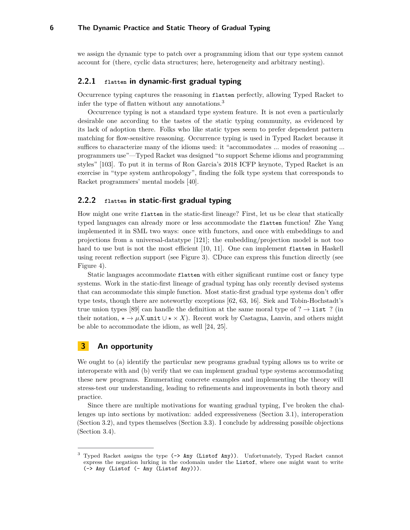we assign the dynamic type to patch over a programming idiom that our type system cannot account for (there, cyclic data structures; here, heterogeneity and arbitrary nesting).

# **2.2.1 flatten in dynamic-first gradual typing**

Occurrence typing captures the reasoning in flatten perfectly, allowing Typed Racket to infer the type of flatten without any annotations.<sup>[3](#page-5-1)</sup>

Occurrence typing is not a standard type system feature. It is not even a particularly desirable one according to the tastes of the static typing community, as evidenced by its lack of adoption there. Folks who like static types seem to prefer dependent pattern matching for flow-sensitive reasoning. Occurrence typing is used in Typed Racket because it suffices to characterize many of the idioms used: it "accommodates ... modes of reasoning ... programmers use"—Typed Racket was designed "to support Scheme idioms and programming styles" [\[103\]](#page-18-3). To put it in terms of Ron Garcia's 2018 ICFP keynote, Typed Racket is an exercise in "type system anthropology", finding the folk type system that corresponds to Racket programmers' mental models [\[40\]](#page-15-11).

# **2.2.2 flatten in static-first gradual typing**

How might one write flatten in the static-first lineage? First, let us be clear that statically typed languages can already more or less accommodate the flatten function! Zhe Yang implemented it in SML two ways: once with functors, and once with embeddings to and projections from a universal-datatype [\[121\]](#page-19-7); the embedding/projection model is not too hard to use but is not the most efficient  $[10, 11]$  $[10, 11]$  $[10, 11]$ . One can implement flatten in Haskell using recent reflection support (see Figure [3\)](#page-10-0). CDuce can express this function directly (see Figure [4\)](#page-11-0).

Static languages accommodate flatten with either significant runtime cost or fancy type systems. Work in the static-first lineage of gradual typing has only recently devised systems that can accommodate this simple function. Most static-first gradual type systems don't offer type tests, though there are noteworthy exceptions [\[62,](#page-16-7) [63,](#page-16-8) [16\]](#page-13-11). Siek and Tobin-Hochstadt's true union types [\[89\]](#page-17-7) can handle the definition at the same moral type of ?  $\rightarrow$  list ? (in their notation,  $\star \rightarrow \mu X$ .unit  $\cup \star \times X$ ). Recent work by Castagna, Lanvin, and others might be able to accommodate the idiom, as well [\[24,](#page-14-7) [25\]](#page-14-8).

# <span id="page-5-0"></span>**3 An opportunity**

We ought to (a) identify the particular new programs gradual typing allows us to write or interoperate with and (b) verify that we can implement gradual type systems accommodating these new programs. Enumerating concrete examples and implementing the theory will stress-test our understanding, leading to refinements and improvements in both theory and practice.

Since there are multiple motivations for wanting gradual typing, I've broken the challenges up into sections by motivation: added expressiveness (Section [3.1\)](#page-6-0), interoperation (Section [3.2\)](#page-7-0), and types themselves (Section [3.3\)](#page-8-0). I conclude by addressing possible objections (Section [3.4\)](#page-9-0).

<span id="page-5-1"></span><sup>&</sup>lt;sup>3</sup> Typed Racket assigns the type (-> Any (Listof Any)). Unfortunately, Typed Racket cannot express the negation lurking in the codomain under the Listof, where one might want to write  $(\rightarrow$  Any (Listof  $(-$  Any (Listof Any))).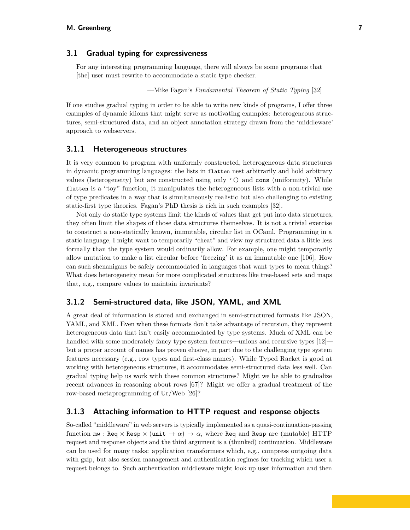# <span id="page-6-0"></span>**3.1 Gradual typing for expressiveness**

For any interesting programming language, there will always be some programs that [the] user must rewrite to accommodate a static type checker.

—Mike Fagan's *Fundamental Theorem of Static Typing* [\[32\]](#page-14-9)

If one studies gradual typing in order to be able to write new kinds of programs, I offer three examples of dynamic idioms that might serve as motivating examples: heterogeneous structures, semi-structured data, and an object annotation strategy drawn from the 'middleware' approach to webservers.

# **3.1.1 Heterogeneous structures**

It is very common to program with uniformly constructed, heterogeneous data structures in dynamic programming languages: the lists in flatten nest arbitrarily and hold arbitrary values (heterogeneity) but are constructed using only '() and cons (uniformity). While flatten is a "toy" function, it manipulates the heterogeneous lists with a non-trivial use of type predicates in a way that is simultaneously realistic but also challenging to existing static-first type theories. Fagan's PhD thesis is rich in such examples [\[32\]](#page-14-9).

Not only do static type systems limit the kinds of values that get put into data structures, they often limit the shapes of those data structures themselves. It is not a trivial exercise to construct a non-statically known, immutable, circular list in OCaml. Programming in a static language, I might want to temporarily "cheat" and view my structured data a little less formally than the type system would ordinarily allow. For example, one might temporarily allow mutation to make a list circular before 'freezing' it as an immutable one [\[106\]](#page-18-7). How can such shenanigans be safely accommodated in languages that want types to mean things? What does heterogeneity mean for more complicated structures like tree-based sets and maps that, e.g., compare values to maintain invariants?

# **3.1.2 Semi-structured data, like JSON, YAML, and XML**

A great deal of information is stored and exchanged in semi-structured formats like JSON, YAML, and XML. Even when these formats don't take advantage of recursion, they represent heterogeneous data that isn't easily accommodated by type systems. Much of XML can be handled with some moderately fancy type system features—unions and recursive types  $[12]$  but a proper account of names has proven elusive, in part due to the challenging type system features necessary (e.g., row types and first-class names). While Typed Racket is good at working with heterogeneous structures, it accommodates semi-structured data less well. Can gradual typing help us work with these common structures? Might we be able to gradualize recent advances in reasoning about rows [\[67\]](#page-16-9)? Might we offer a gradual treatment of the row-based metaprogramming of Ur/Web [\[26\]](#page-14-10)?

# **3.1.3 Attaching information to HTTP request and response objects**

So-called "middleware" in web servers is typically implemented as a quasi-continuation-passing function  $\text{mw}$  : Req  $\times$  Resp  $\times$  (unit  $\rightarrow \alpha$ )  $\rightarrow \alpha$ , where Req and Resp are (mutable) HTTP request and response objects and the third argument is a (thunked) continuation. Middleware can be used for many tasks: application transformers which, e.g., compress outgoing data with gzip, but also session management and authentication regimes for tracking which user a request belongs to. Such authentication middleware might look up user information and then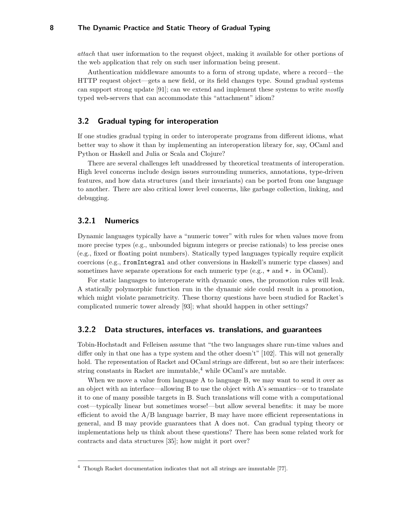*attach* that user information to the request object, making it available for other portions of the web application that rely on such user information being present.

Authentication middleware amounts to a form of strong update, where a record—the HTTP request object—gets a new field, or its field changes type. Sound gradual systems can support strong update [\[91\]](#page-17-8); can we extend and implement these systems to write *mostly* typed web-servers that can accommodate this "attachment" idiom?

# <span id="page-7-0"></span>**3.2 Gradual typing for interoperation**

If one studies gradual typing in order to interoperate programs from different idioms, what better way to show it than by implementing an interoperation library for, say, OCaml and Python or Haskell and Julia or Scala and Clojure?

There are several challenges left unaddressed by theoretical treatments of interoperation. High level concerns include design issues surrounding numerics, annotations, type-driven features, and how data structures (and their invariants) can be ported from one language to another. There are also critical lower level concerns, like garbage collection, linking, and debugging.

# **3.2.1 Numerics**

Dynamic languages typically have a "numeric tower" with rules for when values move from more precise types (e.g., unbounded bignum integers or precise rationals) to less precise ones (e.g., fixed or floating point numbers). Statically typed languages typically require explicit coercions (e.g., fromIntegral and other conversions in Haskell's numeric type classes) and sometimes have separate operations for each numeric type (e.g.,  $+$  and  $+$ . in OCaml).

For static languages to interoperate with dynamic ones, the promotion rules will leak. A statically polymorphic function run in the dynamic side could result in a promotion, which might violate parametricity. These thorny questions have been studied for Racket's complicated numeric tower already [\[93\]](#page-18-9); what should happen in other settings?

# **3.2.2 Data structures, interfaces vs. translations, and guarantees**

Tobin-Hochstadt and Felleisen assume that "the two languages share run-time values and differ only in that one has a type system and the other doesn't" [\[102\]](#page-18-0). This will not generally hold. The representation of Racket and OCaml strings are different, but so are their interfaces: string constants in Racket are immutable, $4$  while OCaml's are mutable.

When we move a value from language A to language B, we may want to send it over as an object with an interface—allowing B to use the object with A's semantics—or to translate it to one of many possible targets in B. Such translations will come with a computational cost—typically linear but sometimes worse!—but allow several benefits: it may be more efficient to avoid the  $A/B$  language barrier, B may have more efficient representations in general, and B may provide guarantees that A does not. Can gradual typing theory or implementations help us think about these questions? There has been some related work for contracts and data structures [\[35\]](#page-14-11); how might it port over?

<span id="page-7-1"></span> $4$  Though Racket documentation indicates that not all strings are immutable [\[77\]](#page-17-9).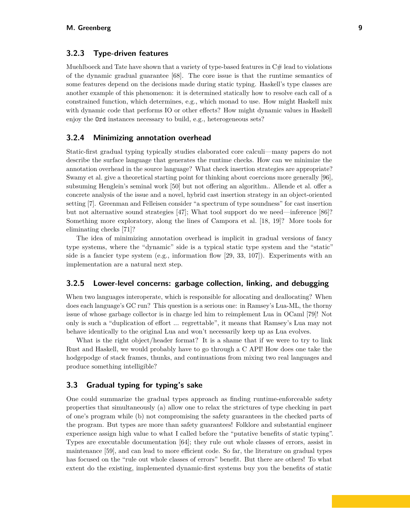# **3.2.3 Type-driven features**

Muehlboeck and Tate have shown that a variety of type-based features in  $C#$  lead to violations of the dynamic gradual guarantee [\[68\]](#page-16-4). The core issue is that the runtime semantics of some features depend on the decisions made during static typing. Haskell's type classes are another example of this phenomenon: it is determined statically how to resolve each call of a constrained function, which determines, e.g., which monad to use. How might Haskell mix with dynamic code that performs IO or other effects? How might dynamic values in Haskell enjoy the Ord instances necessary to build, e.g., heterogeneous sets?

# **3.2.4 Minimizing annotation overhead**

Static-first gradual typing typically studies elaborated core calculi—many papers do not describe the surface language that generates the runtime checks. How can we minimize the annotation overhead in the source language? What check insertion strategies are appropriate? Swamy et al. give a theoretical starting point for thinking about coercions more generally [\[96\]](#page-18-10), subsuming Henglein's seminal work [\[50\]](#page-15-5) but not offering an algorithm.. Allende et al. offer a concrete analysis of the issue and a novel, hybrid cast insertion strategy in an object-oriented setting [\[7\]](#page-13-13). Greenman and Felleisen consider "a spectrum of type soundness" for cast insertion but not alternative sound strategies [\[47\]](#page-15-12); What tool support do we need—inference [\[86\]](#page-17-10)? Something more exploratory, along the lines of Campora et al. [\[18,](#page-14-12) [19\]](#page-14-13)? More tools for eliminating checks [\[71\]](#page-16-10)?

The idea of minimizing annotation overhead is implicit in gradual versions of fancy type systems, where the "dynamic" side is a typical static type system and the "static" side is a fancier type system (e.g., information flow  $[29, 33, 107]$  $[29, 33, 107]$  $[29, 33, 107]$  $[29, 33, 107]$  $[29, 33, 107]$ ). Experiments with an implementation are a natural next step.

# **3.2.5 Lower-level concerns: garbage collection, linking, and debugging**

When two languages interoperate, which is responsible for allocating and deallocating? When does each language's GC run? This question is a serious one: in Ramsey's Lua-ML, the thorny issue of whose garbage collector is in charge led him to reimplement Lua in OCaml [\[79\]](#page-17-11)! Not only is such a "duplication of effort ... regrettable", it means that Ramsey's Lua may not behave identically to the original Lua and won't necessarily keep up as Lua evolves.

What is the right object/header format? It is a shame that if we were to try to link Rust and Haskell, we would probably have to go through a C API! How does one take the hodgepodge of stack frames, thunks, and continuations from mixing two real languages and produce something intelligible?

# <span id="page-8-0"></span>**3.3 Gradual typing for typing's sake**

One could summarize the gradual types approach as finding runtime-enforceable safety properties that simultaneously (a) allow one to relax the strictures of type checking in part of one's program while (b) not compromising the safety guarantees in the checked parts of the program. But types are more than safety guarantees! Folklore and substantial engineer experience assign high value to what I called before the "putative benefits of static typing". Types are executable documentation [\[64\]](#page-16-1); they rule out whole classes of errors, assist in maintenance [\[59\]](#page-16-0), and can lead to more efficient code. So far, the literature on gradual types has focused on the "rule out whole classes of errors" benefit. But there are others! To what extent do the existing, implemented dynamic-first systems buy you the benefits of static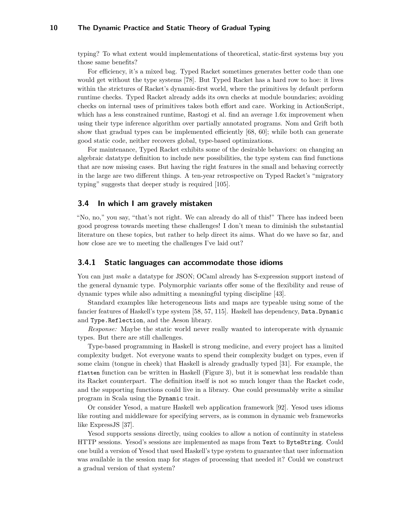typing? To what extent would implementations of theoretical, static-first systems buy you those same benefits?

For efficiency, it's a mixed bag. Typed Racket sometimes generates better code than one would get without the type systems [\[78\]](#page-17-12). But Typed Racket has a hard row to hoe: it lives within the strictures of Racket's dynamic-first world, where the primitives by default perform runtime checks. Typed Racket already adds its own checks at module boundaries; avoiding checks on internal uses of primitives takes both effort and care. Working in ActionScript, which has a less constrained runtime, Rastogi et al. find an average 1.6x improvement when using their type inference algorithm over partially annotated programs. Nom and Grift both show that gradual types can be implemented efficiently [\[68,](#page-16-4) [60\]](#page-16-5); while both can generate good static code, neither recovers global, type-based optimizations.

For maintenance, Typed Racket exhibits some of the desirable behaviors: on changing an algebraic datatype definition to include new possibilities, the type system can find functions that are now missing cases. But having the right features in the small and behaving correctly in the large are two different things. A ten-year retrospective on Typed Racket's "migratory typing" suggests that deeper study is required [\[105\]](#page-18-11).

# <span id="page-9-0"></span>**3.4 In which I am gravely mistaken**

"No, no," you say, "that's not right. We can already do all of this!" There has indeed been good progress towards meeting these challenges! I don't mean to diminish the substantial literature on these topics, but rather to help direct its aims. What do we have so far, and how close are we to meeting the challenges I've laid out?

# **3.4.1 Static languages can accommodate those idioms**

You can just *make* a datatype for JSON; OCaml already has S-expression support instead of the general dynamic type. Polymorphic variants offer some of the flexibility and reuse of dynamic types while also admitting a meaningful typing discipline [\[43\]](#page-15-13).

Standard examples like heterogeneous lists and maps are typeable using some of the fancier features of Haskell's type system [\[58,](#page-16-11) [57,](#page-16-12) [115\]](#page-19-8). Haskell has dependency, Data.Dynamic and Type.Reflection, and the Aeson library.

*Response:* Maybe the static world never really wanted to interoperate with dynamic types. But there are still challenges.

Type-based programming in Haskell is strong medicine, and every project has a limited complexity budget. Not everyone wants to spend their complexity budget on types, even if some claim (tongue in cheek) that Haskell is already gradually typed [\[31\]](#page-14-14). For example, the flatten function can be written in Haskell (Figure [3\)](#page-10-0), but it is somewhat less readable than its Racket counterpart. The definition itself is not so much longer than the Racket code, and the supporting functions could live in a library. One could presumably write a similar program in Scala using the Dynamic trait.

Or consider Yesod, a mature Haskell web application framework [\[92\]](#page-18-12). Yesod uses idioms like routing and middleware for specifying servers, as is common in dynamic web frameworks like ExpressJS [\[37\]](#page-15-14).

Yesod supports sessions directly, using cookies to allow a notion of continuity in stateless HTTP sessions. Yesod's sessions are implemented as maps from Text to ByteString. Could one build a version of Yesod that used Haskell's type system to guarantee that user information was available in the session map for stages of processing that needed it? Could we construct a gradual version of that system?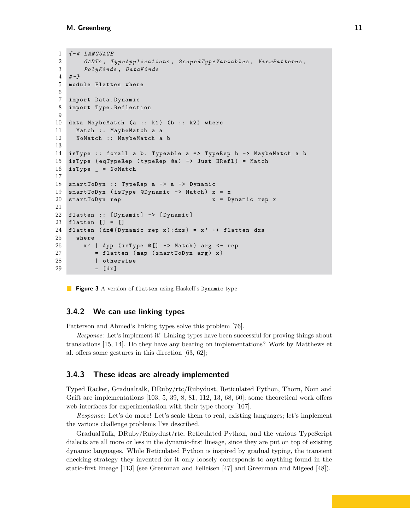```
1 { - # LANGUAGE
2 GADTs , TypeApplications , ScopedTypeVariables , ViewPatterns ,
3 PolyKinds , DataKinds
4 # -}
5 module Flatten where
6
7 import Data . Dynamic
8 import Type . Reflection
9
10 data MaybeMatch (a :: k1) (b :: k2) where
11 Match :: MaybeMatch a a
12 NoMatch :: MaybeMatch a b
13
14 isType :: forall a b . Typeable a = > TypeRep b -> MaybeMatch a b
15 isType ( eqTypeRep ( typeRep @a ) -> Just HRefl ) = Match
16 isType _ = NoMatch
17
18 smartToDyn :: TypeRep a -> a -> Dynamic
19 smartToDyn (isType @Dynamic \rightarrow Match) x = x20 smartToDyn rep x x = Dynamic rep x
21
22 flatten :: [Dynamic] -> [Dynamic]
23 flatten [] = []
24 flatten (dx@(Dynamic rep x):dxs) = x' ++ flatten dxs25 where
26 \times x' | App (isType \mathbb{C} [] -> Match) arg \leq rep
27 = flatten (map (smartToDyn arg) x)
28 | otherwise
29 = [dx]
```
**Figure 3** A version of flatten using Haskell's Dynamic type

### **3.4.2 We can use linking types**

Patterson and Ahmed's linking types solve this problem [\[76\]](#page-17-13).

*Response:* Let's implement it! Linking types have been successful for proving things about translations [\[15,](#page-13-14) [14\]](#page-13-15). Do they have any bearing on implementations? Work by Matthews et al. offers some gestures in this direction [\[63,](#page-16-8) [62\]](#page-16-7);

#### <span id="page-10-1"></span>**3.4.3 These ideas are already implemented**

Typed Racket, Gradualtalk, DRuby/rtc/Rubydust, Reticulated Python, Thorn, Nom and Grift are implementations  $[103, 5, 39, 8, 81, 112, 13, 68, 60]$  $[103, 5, 39, 8, 81, 112, 13, 68, 60]$  $[103, 5, 39, 8, 81, 112, 13, 68, 60]$  $[103, 5, 39, 8, 81, 112, 13, 68, 60]$  $[103, 5, 39, 8, 81, 112, 13, 68, 60]$  $[103, 5, 39, 8, 81, 112, 13, 68, 60]$  $[103, 5, 39, 8, 81, 112, 13, 68, 60]$  $[103, 5, 39, 8, 81, 112, 13, 68, 60]$  $[103, 5, 39, 8, 81, 112, 13, 68, 60]$  $[103, 5, 39, 8, 81, 112, 13, 68, 60]$  $[103, 5, 39, 8, 81, 112, 13, 68, 60]$  $[103, 5, 39, 8, 81, 112, 13, 68, 60]$  $[103, 5, 39, 8, 81, 112, 13, 68, 60]$  $[103, 5, 39, 8, 81, 112, 13, 68, 60]$  $[103, 5, 39, 8, 81, 112, 13, 68, 60]$  $[103, 5, 39, 8, 81, 112, 13, 68, 60]$  $[103, 5, 39, 8, 81, 112, 13, 68, 60]$ ; some theoretical work offers web interfaces for experimentation with their type theory [\[107\]](#page-18-8).

*Response:* Let's do more! Let's scale them to real, existing languages; let's implement the various challenge problems I've described.

GradualTalk, DRuby/Rubydust/rtc, Reticulated Python, and the various TypeScript dialects are all more or less in the dynamic-first lineage, since they are put on top of existing dynamic languages. While Reticulated Python is inspired by gradual typing, the transient checking strategy they invented for it only loosely corresponds to anything found in the static-first lineage [\[113\]](#page-19-3) (see Greenman and Felleisen [\[47\]](#page-15-12) and Greenman and Migeed [\[48\]](#page-15-15)).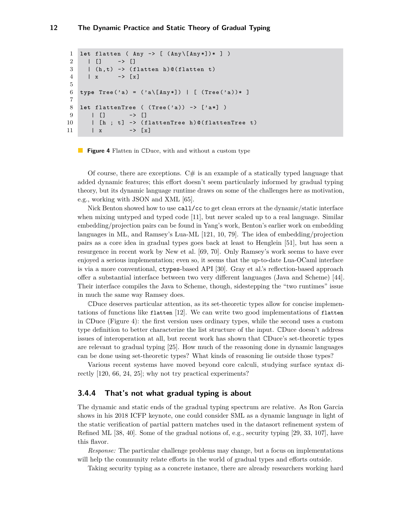```
1 let flatten ( Any -> [ ( Any \[ Any *])* ] )
2 | [] -> []
3 | (h,t) -> (flatten h)@(flatten t)
4 \mid x \mid - \rangle [x]
5
6 type Tree('a) = ('a\([Any*]) | [ (Tree('a))* ]7
8 let flattenTree ( (Tree('a)) -> ['a*] )
9 | [] -> []
10 | [h ; t] -> (flattenTree h)@(flattenTree t)
11 | x -> [x]
```
#### **Figure 4** Flatten in CDuce, with and without a custom type

Of course, there are exceptions.  $C#$  is an example of a statically typed language that added dynamic features; this effort doesn't seem particularly informed by gradual typing theory, but its dynamic language runtime draws on some of the challenges here as motivation, e.g., working with JSON and XML [\[65\]](#page-16-6).

Nick Benton showed how to use call/cc to get clean errors at the dynamic/static interface when mixing untyped and typed code [\[11\]](#page-13-10), but never scaled up to a real language. Similar embedding/projection pairs can be found in Yang's work, Benton's earlier work on embedding languages in ML, and Ramsey's Lua-ML [\[121,](#page-19-7) [10,](#page-13-9) [79\]](#page-17-11). The idea of embedding/projection pairs as a core idea in gradual types goes back at least to Henglein [\[51\]](#page-15-16), but has seen a resurgence in recent work by New et al. [\[69,](#page-16-13) [70\]](#page-16-14). Only Ramsey's work seems to have ever enjoyed a serious implementation; even so, it seems that the up-to-date Lua-OCaml interface is via a more conventional, ctypes-based API [\[30\]](#page-14-15). Gray et al.'s reflection-based approach offer a substantial interface between two very different languages (Java and Scheme) [\[44\]](#page-15-17). Their interface compiles the Java to Scheme, though, sidestepping the "two runtimes" issue in much the same way Ramsey does.

CDuce deserves particular attention, as its set-theoretic types allow for concise implementations of functions like flatten [\[12\]](#page-13-12). We can write two good implementations of flatten in CDuce (Figure [4\)](#page-11-0): the first version uses ordinary types, while the second uses a custom type definition to better characterize the list structure of the input. CDuce doesn't address issues of interoperation at all, but recent work has shown that CDuce's set-theoretic types are relevant to gradual typing [\[25\]](#page-14-8). How much of the reasoning done in dynamic languages can be done using set-theoretic types? What kinds of reasoning lie outside those types?

Various recent systems have moved beyond core calculi, studying surface syntax directly [\[120,](#page-19-9) [66,](#page-16-15) [24,](#page-14-7) [25\]](#page-14-8); why not try practical experiments?

# **3.4.4 That's not what gradual typing is about**

The dynamic and static ends of the gradual typing spectrum are relative. As Ron Garcia shows in his 2018 ICFP keynote, one could consider SML as a dynamic language in light of the static verification of partial pattern matches used in the datasort refinement system of Refined ML [\[38,](#page-15-18) [40\]](#page-15-11). Some of the gradual notions of, e.g., security typing [\[29,](#page-14-4) [33,](#page-14-5) [107\]](#page-18-8), have this flavor.

*Response:* The particular challenge problems may change, but a focus on implementations will help the community relate efforts in the world of gradual types and efforts outside.

Taking security typing as a concrete instance, there are already researchers working hard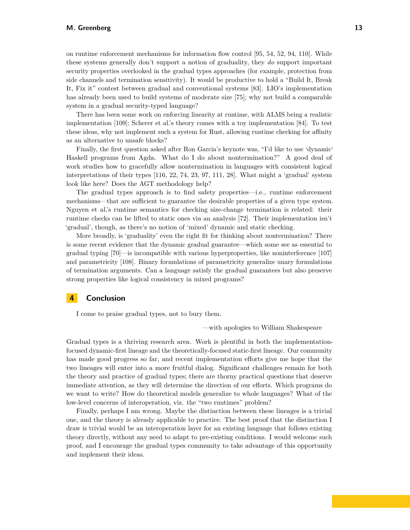on runtime enforcement mechanisms for information flow control [\[95,](#page-18-13) [54,](#page-15-19) [52,](#page-15-20) [94,](#page-18-14) [110\]](#page-19-10). While these systems generally don't support a notion of graduality, they *do* support important security properties overlooked in the gradual types approaches (for example, protection from side channels and termination sensitivity). It would be productive to hold a "Build It, Break It, Fix it" contest between gradual and conventional systems [\[83\]](#page-17-14). LIO's implementation has already been used to build systems of moderate size [\[75\]](#page-17-15); why not build a comparable system in a gradual security-typed language?

There has been some work on enforcing linearity at runtime, with ALMS being a realistic implementation [\[109\]](#page-19-11); Scherer et al.'s theory comes with a toy implementation [\[84\]](#page-17-16). To test these ideas, why not implement such a system for Rust, allowing runtime checking for affinity as an alternative to unsafe blocks?

Finally, the first question asked after Ron Garcia's keynote was, "I'd like to use 'dynamic' Haskell programs from Agda. What do I do about nontermination?" A good deal of work studies how to gracefully allow nontermination in languages with consistent logical interpretations of their types [\[116,](#page-19-12) [22,](#page-14-16) [74,](#page-16-16) [23,](#page-14-17) [97,](#page-18-15) [111,](#page-19-13) [28\]](#page-14-18). What might a 'gradual' system look like here? Does the AGT methodology help?

The gradual types approach is to find safety properties—i.e., runtime enforcement mechanisms—that are sufficient to guarantee the desirable properties of a given type system. Nguyen et al.'s runtime semantics for checking size-change termination is related: their runtime checks can be lifted to static ones via an analysis [\[72\]](#page-16-17). Their implementation isn't 'gradual', though, as there's no notion of 'mixed' dynamic and static checking.

More broadly, is 'graduality' even the right fit for thinking about nontermination? There is some recent evidence that the dynamic gradual guarantee—which some see as essential to gradual typing [\[70\]](#page-16-14)—is incompatible with various hyperproperties, like noninterference [\[107\]](#page-18-8) and parametricity [\[108\]](#page-19-5). Binary formulations of parametricity generalize unary formulations of termination arguments. Can a language satisfy the gradual guarantees but also preserve strong properties like logical consistency in mixed programs?

# **4 Conclusion**

I come to praise gradual types, not to bury them.

—with apologies to William Shakespeare

Gradual types is a thriving research area. Work is plentiful in both the implementationfocused dynamic-first lineage and the theoretically-focused static-first lineage. Our community has made good progress so far, and recent implementation efforts give me hope that the two lineages will enter into a more fruitful dialog. Significant challenges remain for both the theory and practice of gradual types; there are thorny practical questions that deserve immediate attention, as they will determine the direction of our efforts. Which programs do we want to write? How do theoretical models generalize to whole languages? What of the low-level concerns of interoperation, viz. the "two runtimes" problem?

Finally, perhaps I am wrong. Maybe the distinction between these lineages is a trivial one, and the theory is already applicable to practice. The best proof that the distinction I draw is trivial would be an interoperation layer for an existing language that follows existing theory directly, without any need to adapt to pre-existing conditions. I would welcome such proof, and I encourage the gradual types community to take advantage of this opportunity and implement their ideas.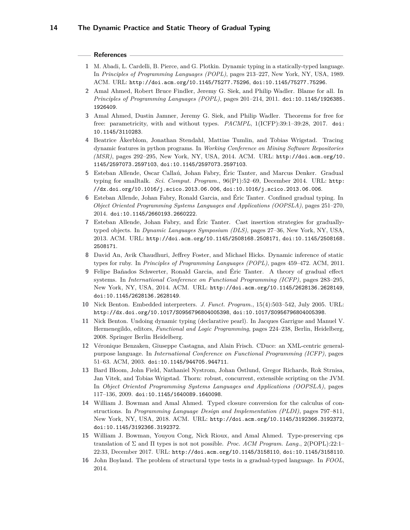#### **References**

- <span id="page-13-3"></span>**1** M. Abadi, L. Cardelli, B. Pierce, and G. Plotkin. Dynamic typing in a statically-typed language. In *Principles of Programming Languages (POPL)*, pages 213–227, New York, NY, USA, 1989. ACM. URL: <http://doi.acm.org/10.1145/75277.75296>, [doi:10.1145/75277.75296](http://dx.doi.org/10.1145/75277.75296).
- <span id="page-13-4"></span>**2** Amal Ahmed, Robert Bruce Findler, Jeremy G. Siek, and Philip Wadler. Blame for all. In *Principles of Programming Languages (POPL)*, pages 201–214, 2011. [doi:10.1145/1926385.](http://dx.doi.org/10.1145/1926385.1926409) [1926409](http://dx.doi.org/10.1145/1926385.1926409).
- <span id="page-13-5"></span>**3** Amal Ahmed, Dustin Jamner, Jeremy G. Siek, and Philip Wadler. Theorems for free for free: parametricity, with and without types. *PACMPL*, 1(ICFP):39:1–39:28, 2017. [doi:](http://dx.doi.org/10.1145/3110283) [10.1145/3110283](http://dx.doi.org/10.1145/3110283).
- <span id="page-13-2"></span>**4** Beatrice Åkerblom, Jonathan Stendahl, Mattias Tumlin, and Tobias Wrigstad. Tracing dynamic features in python programs. In *Working Conference on Mining Software Repositories (MSR)*, pages 292–295, New York, NY, USA, 2014. ACM. URL: [http://doi.acm.org/10.](http://doi.acm.org/10.1145/2597073.2597103) [1145/2597073.2597103](http://doi.acm.org/10.1145/2597073.2597103), [doi:10.1145/2597073.2597103](http://dx.doi.org/10.1145/2597073.2597103).
- <span id="page-13-1"></span>**5** Esteban Allende, Oscar Callaú, Johan Fabry, Éric Tanter, and Marcus Denker. Gradual typing for smalltalk. *Sci. Comput. Program.*, 96(P1):52–69, December 2014. URL: [http:](http://dx.doi.org/10.1016/j.scico.2013.06.006) [//dx.doi.org/10.1016/j.scico.2013.06.006](http://dx.doi.org/10.1016/j.scico.2013.06.006), [doi:10.1016/j.scico.2013.06.006](http://dx.doi.org/10.1016/j.scico.2013.06.006).
- <span id="page-13-7"></span>**6** Esteban Allende, Johan Fabry, Ronald Garcia, and Éric Tanter. Confined gradual typing. In *Object Oriented Programming Systems Languages and Applications (OOPSLA)*, pages 251–270, 2014. [doi:10.1145/2660193.2660222](http://dx.doi.org/10.1145/2660193.2660222).
- <span id="page-13-13"></span>**7** Esteban Allende, Johan Fabry, and Éric Tanter. Cast insertion strategies for graduallytyped objects. In *Dynamic Languages Symposium (DLS)*, pages 27–36, New York, NY, USA, 2013. ACM. URL: <http://doi.acm.org/10.1145/2508168.2508171>, [doi:10.1145/2508168.](http://dx.doi.org/10.1145/2508168.2508171) [2508171](http://dx.doi.org/10.1145/2508168.2508171).
- <span id="page-13-0"></span>**8** David An, Avik Chaudhuri, Jeffrey Foster, and Michael Hicks. Dynamic inference of static types for ruby. In *Principles of Programming Languages (POPL)*, pages 459–472. ACM, 2011.
- <span id="page-13-6"></span>**9** Felipe Bañados Schwerter, Ronald Garcia, and Éric Tanter. A theory of gradual effect systems. In *International Conference on Functional Programming (ICFP)*, pages 283–295, New York, NY, USA, 2014. ACM. URL: <http://doi.acm.org/10.1145/2628136.2628149>, [doi:10.1145/2628136.2628149](http://dx.doi.org/10.1145/2628136.2628149).
- <span id="page-13-9"></span>**10** Nick Benton. Embedded interpreters. *J. Funct. Program.*, 15(4):503–542, July 2005. URL: <http://dx.doi.org/10.1017/S0956796804005398>, [doi:10.1017/S0956796804005398](http://dx.doi.org/10.1017/S0956796804005398).
- <span id="page-13-10"></span>**11** Nick Benton. Undoing dynamic typing (declarative pearl). In Jacques Garrigue and Manuel V. Hermenegildo, editors, *Functional and Logic Programming*, pages 224–238, Berlin, Heidelberg, 2008. Springer Berlin Heidelberg.
- <span id="page-13-12"></span>**12** Véronique Benzaken, Giuseppe Castagna, and Alain Frisch. CDuce: an XML-centric generalpurpose language. In *International Conference on Functional Programming (ICFP)*, pages 51–63. ACM, 2003. [doi:10.1145/944705.944711](http://dx.doi.org/10.1145/944705.944711).
- <span id="page-13-8"></span>**13** Bard Bloom, John Field, Nathaniel Nystrom, Johan Östlund, Gregor Richards, Rok Strnisa, Jan Vitek, and Tobias Wrigstad. Thorn: robust, concurrent, extensible scripting on the JVM. In *Object Oriented Programming Systems Languages and Applications (OOPSLA)*, pages 117–136, 2009. [doi:10.1145/1640089.1640098](http://dx.doi.org/10.1145/1640089.1640098).
- <span id="page-13-15"></span>**14** William J. Bowman and Amal Ahmed. Typed closure conversion for the calculus of constructions. In *Programming Language Design and Implementation (PLDI)*, pages 797–811, New York, NY, USA, 2018. ACM. URL: <http://doi.acm.org/10.1145/3192366.3192372>, [doi:10.1145/3192366.3192372](http://dx.doi.org/10.1145/3192366.3192372).
- <span id="page-13-14"></span>**15** William J. Bowman, Youyou Cong, Nick Rioux, and Amal Ahmed. Type-preserving cps translation of Σ and Π types is not not possible. *Proc. ACM Program. Lang.*, 2(POPL):22:1– 22:33, December 2017. URL: <http://doi.acm.org/10.1145/3158110>, [doi:10.1145/3158110](http://dx.doi.org/10.1145/3158110).
- <span id="page-13-11"></span>**16** John Boyland. The problem of structural type tests in a gradual-typed language. In *FOOL*, 2014.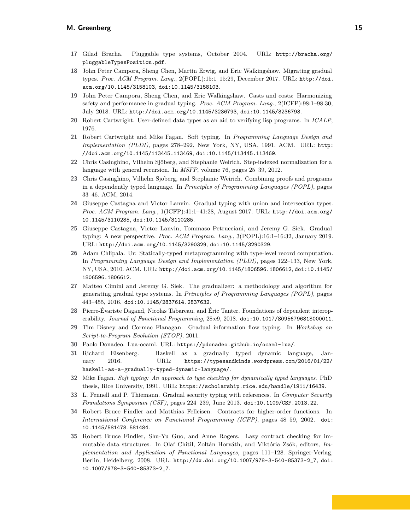# **M. Greenberg 15**

- <span id="page-14-2"></span>**17** Gilad Bracha. Pluggable type systems, October 2004. URL: [http://bracha.org/](http://bracha.org/pluggableTypesPosition.pdf) [pluggableTypesPosition.pdf](http://bracha.org/pluggableTypesPosition.pdf).
- <span id="page-14-12"></span>**18** John Peter Campora, Sheng Chen, Martin Erwig, and Eric Walkingshaw. Migrating gradual types. *Proc. ACM Program. Lang.*, 2(POPL):15:1–15:29, December 2017. URL: [http://doi.](http://doi.acm.org/10.1145/3158103) [acm.org/10.1145/3158103](http://doi.acm.org/10.1145/3158103), [doi:10.1145/3158103](http://dx.doi.org/10.1145/3158103).
- <span id="page-14-13"></span>**19** John Peter Campora, Sheng Chen, and Eric Walkingshaw. Casts and costs: Harmonizing safety and performance in gradual typing. *Proc. ACM Program. Lang.*, 2(ICFP):98:1–98:30, July 2018. URL: <http://doi.acm.org/10.1145/3236793>, [doi:10.1145/3236793](http://dx.doi.org/10.1145/3236793).
- <span id="page-14-1"></span>**20** Robert Cartwright. User-defined data types as an aid to verifying lisp programs. In *ICALP*, 1976.
- <span id="page-14-3"></span>**21** Robert Cartwright and Mike Fagan. Soft typing. In *Programming Language Design and Implementation (PLDI)*, pages 278–292, New York, NY, USA, 1991. ACM. URL: [http:](http://doi.acm.org/10.1145/113445.113469) [//doi.acm.org/10.1145/113445.113469](http://doi.acm.org/10.1145/113445.113469), [doi:10.1145/113445.113469](http://dx.doi.org/10.1145/113445.113469).
- <span id="page-14-16"></span>**22** Chris Casinghino, Vilhelm Sjöberg, and Stephanie Weirich. Step-indexed normalization for a language with general recursion. In *MSFP*, volume 76, pages 25–39, 2012.
- <span id="page-14-17"></span>**23** Chris Casinghino, Vilhelm Sjöberg, and Stephanie Weirich. Combining proofs and programs in a dependently typed language. In *Principles of Programming Languages (POPL)*, pages 33–46. ACM, 2014.
- <span id="page-14-7"></span>**24** Giuseppe Castagna and Victor Lanvin. Gradual typing with union and intersection types. *Proc. ACM Program. Lang.*, 1(ICFP):41:1–41:28, August 2017. URL: [http://doi.acm.org/](http://doi.acm.org/10.1145/3110285) [10.1145/3110285](http://doi.acm.org/10.1145/3110285), [doi:10.1145/3110285](http://dx.doi.org/10.1145/3110285).
- <span id="page-14-8"></span>**25** Giuseppe Castagna, Victor Lanvin, Tommaso Petrucciani, and Jeremy G. Siek. Gradual typing: A new perspective. *Proc. ACM Program. Lang.*, 3(POPL):16:1–16:32, January 2019. URL: <http://doi.acm.org/10.1145/3290329>, [doi:10.1145/3290329](http://dx.doi.org/10.1145/3290329).
- <span id="page-14-10"></span>**26** Adam Chlipala. Ur: Statically-typed metaprogramming with type-level record computation. In *Programming Language Design and Implementation (PLDI)*, pages 122–133, New York, NY, USA, 2010. ACM. URL: <http://doi.acm.org/10.1145/1806596.1806612>, [doi:10.1145/](http://dx.doi.org/10.1145/1806596.1806612) [1806596.1806612](http://dx.doi.org/10.1145/1806596.1806612).
- <span id="page-14-6"></span>**27** Matteo Cimini and Jeremy G. Siek. The gradualizer: a methodology and algorithm for generating gradual type systems. In *Principles of Programming Languages (POPL)*, pages 443–455, 2016. [doi:10.1145/2837614.2837632](http://dx.doi.org/10.1145/2837614.2837632).
- <span id="page-14-18"></span>**28** Pierre-Évariste Dagand, Nicolas Tabareau, and Éric Tanter. Foundations of dependent interoperability. *Journal of Functional Programming*, 28:e9, 2018. [doi:10.1017/S0956796818000011](http://dx.doi.org/10.1017/S0956796818000011).
- <span id="page-14-4"></span>**29** Tim Disney and Cormac Flanagan. Gradual information flow typing. In *Workshop on Script-to-Program Evolution (STOP)*, 2011.
- <span id="page-14-15"></span>**30** Paolo Donadeo. Lua-ocaml. URL: <https://pdonadeo.github.io/ocaml-lua/>.
- <span id="page-14-14"></span>**31** Richard Eisenberg. Haskell as a gradually typed dynamic language, January 2016. URL: [https://typesandkinds.wordpress.com/2016/01/22/](https://typesandkinds.wordpress.com/2016/01/22/haskell-as-a-gradually-typed-dynamic-language/) [haskell-as-a-gradually-typed-dynamic-language/](https://typesandkinds.wordpress.com/2016/01/22/haskell-as-a-gradually-typed-dynamic-language/).
- <span id="page-14-9"></span>**32** Mike Fagan. *Soft typing: An approach to type checking for dynamically typed languages*. PhD thesis, Rice University, 1991. URL: <https://scholarship.rice.edu/handle/1911/16439>.
- <span id="page-14-5"></span>**33** L. Fennell and P. Thiemann. Gradual security typing with references. In *Computer Security Foundations Symposium (CSF)*, pages 224–239, June 2013. [doi:10.1109/CSF.2013.22](http://dx.doi.org/10.1109/CSF.2013.22).
- <span id="page-14-0"></span>**34** Robert Bruce Findler and Matthias Felleisen. Contracts for higher-order functions. In *International Conference on Functional Programming (ICFP)*, pages 48–59, 2002. [doi:](http://dx.doi.org/10.1145/581478.581484) [10.1145/581478.581484](http://dx.doi.org/10.1145/581478.581484).
- <span id="page-14-11"></span>**35** Robert Bruce Findler, Shu-Yu Guo, and Anne Rogers. Lazy contract checking for immutable data structures. In Olaf Chitil, Zoltán Horváth, and Viktória Zsók, editors, *Implementation and Application of Functional Languages*, pages 111–128. Springer-Verlag, Berlin, Heidelberg, 2008. URL: [http://dx.doi.org/10.1007/978-3-540-85373-2\\_7](http://dx.doi.org/10.1007/978-3-540-85373-2_7), [doi:](http://dx.doi.org/10.1007/978-3-540-85373-2_7) [10.1007/978-3-540-85373-2\\_7](http://dx.doi.org/10.1007/978-3-540-85373-2_7).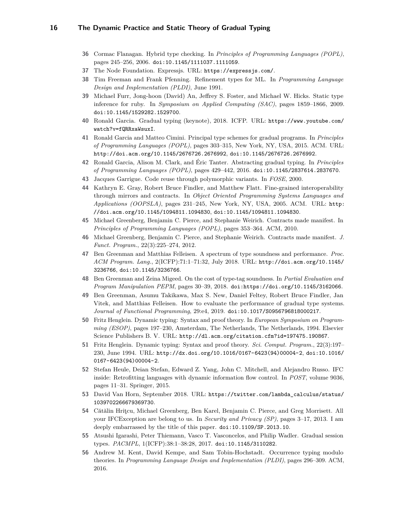- <span id="page-15-0"></span>**36** Cormac Flanagan. Hybrid type checking. In *Principles of Programming Languages (POPL)*, pages 245–256, 2006. [doi:10.1145/1111037.1111059](http://dx.doi.org/10.1145/1111037.1111059).
- <span id="page-15-14"></span>**37** The Node Foundation. Expressjs. URL: <https://expressjs.com/>.
- <span id="page-15-18"></span>**38** Tim Freeman and Frank Pfenning. Refinement types for ML. In *Programming Language Design and Implementation (PLDI)*, June 1991.
- <span id="page-15-4"></span>**39** Michael Furr, Jong-hoon (David) An, Jeffrey S. Foster, and Michael W. Hicks. Static type inference for ruby. In *Symposium on Applied Computing (SAC)*, pages 1859–1866, 2009. [doi:10.1145/1529282.1529700](http://dx.doi.org/10.1145/1529282.1529700).
- <span id="page-15-11"></span>**40** Ronald Garcia. Gradual typing (keynote), 2018. ICFP. URL: [https://www.youtube.com/](https://www.youtube.com/watch?v=fQRRxaWsuxI) [watch?v=fQRRxaWsuxI](https://www.youtube.com/watch?v=fQRRxaWsuxI).
- <span id="page-15-7"></span>**41** Ronald Garcia and Matteo Cimini. Principal type schemes for gradual programs. In *Principles of Programming Languages (POPL)*, pages 303–315, New York, NY, USA, 2015. ACM. URL: <http://doi.acm.org/10.1145/2676726.2676992>, [doi:10.1145/2676726.2676992](http://dx.doi.org/10.1145/2676726.2676992).
- <span id="page-15-9"></span>**42** Ronald Garcia, Alison M. Clark, and Éric Tanter. Abstracting gradual typing. In *Principles of Programming Languages (POPL)*, pages 429–442, 2016. [doi:10.1145/2837614.2837670](http://dx.doi.org/10.1145/2837614.2837670).
- <span id="page-15-13"></span>**43** Jacques Garrigue. Code reuse through polymorphic variants. In *FOSE*, 2000.
- <span id="page-15-17"></span>**44** Kathryn E. Gray, Robert Bruce Findler, and Matthew Flatt. Fine-grained interoperability through mirrors and contracts. In *Object Oriented Programming Systems Languages and Applications (OOPSLA)*, pages 231–245, New York, NY, USA, 2005. ACM. URL: [http:](http://doi.acm.org/10.1145/1094811.1094830) [//doi.acm.org/10.1145/1094811.1094830](http://doi.acm.org/10.1145/1094811.1094830), [doi:10.1145/1094811.1094830](http://dx.doi.org/10.1145/1094811.1094830).
- <span id="page-15-2"></span>**45** Michael Greenberg, Benjamin C. Pierce, and Stephanie Weirich. Contracts made manifest. In *Principles of Programming Languages (POPL)*, pages 353–364. ACM, 2010.
- <span id="page-15-3"></span>**46** Michael Greenberg, Benjamin C. Pierce, and Stephanie Weirich. Contracts made manifest. *J. Funct. Program.*, 22(3):225–274, 2012.
- <span id="page-15-12"></span>**47** Ben Greenman and Matthias Felleisen. A spectrum of type soundness and performance. *Proc. ACM Program. Lang.*, 2(ICFP):71:1–71:32, July 2018. URL: [http://doi.acm.org/10.1145/](http://doi.acm.org/10.1145/3236766) [3236766](http://doi.acm.org/10.1145/3236766), [doi:10.1145/3236766](http://dx.doi.org/10.1145/3236766).
- <span id="page-15-15"></span>**48** Ben Greenman and Zeina Migeed. On the cost of type-tag soundness. In *Partial Evaluation and Program Manipulation PEPM*, pages 30–39, 2018. [doi:https://doi.org/10.1145/3162066](http://dx.doi.org/https://doi.org/10.1145/3162066).
- <span id="page-15-1"></span>**49** Ben Greenman, Asumu Takikawa, Max S. New, Daniel Feltey, Robert Bruce Findler, Jan Vitek, and Matthias Felleisen. How to evaluate the performance of gradual type systems. *Journal of Functional Programming*, 29:e4, 2019. [doi:10.1017/S0956796818000217](http://dx.doi.org/10.1017/S0956796818000217).
- <span id="page-15-5"></span>**50** Fritz Henglein. Dynamic typing: Syntax and proof theory. In *European Symposium on Programming (ESOP)*, pages 197–230, Amsterdam, The Netherlands, The Netherlands, 1994. Elsevier Science Publishers B. V. URL: <http://dl.acm.org/citation.cfm?id=197475.190867>.
- <span id="page-15-16"></span>**51** Fritz Henglein. Dynamic typing: Syntax and proof theory. *Sci. Comput. Program.*, 22(3):197– 230, June 1994. URL: [http://dx.doi.org/10.1016/0167-6423\(94\)00004-2](http://dx.doi.org/10.1016/0167-6423(94)00004-2), [doi:10.1016/](http://dx.doi.org/10.1016/0167-6423(94)00004-2) [0167-6423\(94\)00004-2](http://dx.doi.org/10.1016/0167-6423(94)00004-2).
- <span id="page-15-20"></span>**52** Stefan Heule, Deian Stefan, Edward Z. Yang, John C. Mitchell, and Alejandro Russo. IFC inside: Retrofitting languages with dynamic information flow control. In *POST*, volume 9036, pages 11–31. Springer, 2015.
- <span id="page-15-10"></span>**53** David Van Horn, September 2018. URL: [https://twitter.com/lambda\\_calculus/status/](https://twitter.com/lambda_calculus/status/1039702266679369730) [1039702266679369730](https://twitter.com/lambda_calculus/status/1039702266679369730).
- <span id="page-15-19"></span>**54** Cătălin Hriţcu, Michael Greenberg, Ben Karel, Benjamin C. Pierce, and Greg Morrisett. All your IFCException are belong to us. In *Security and Privacy (SP)*, pages 3–17, 2013. I am deeply embarrassed by the title of this paper. [doi:10.1109/SP.2013.10](http://dx.doi.org/10.1109/SP.2013.10).
- <span id="page-15-8"></span>**55** Atsushi Igarashi, Peter Thiemann, Vasco T. Vasconcelos, and Philip Wadler. Gradual session types. *PACMPL*, 1(ICFP):38:1–38:28, 2017. [doi:10.1145/3110282](http://dx.doi.org/10.1145/3110282).
- <span id="page-15-6"></span>**56** Andrew M. Kent, David Kempe, and Sam Tobin-Hochstadt. Occurrence typing modulo theories. In *Programming Language Design and Implementation (PLDI)*, pages 296–309. ACM, 2016.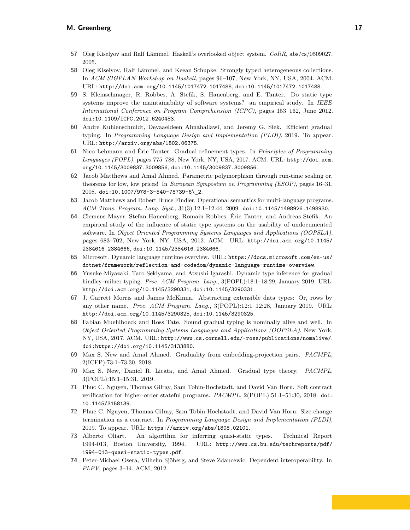- <span id="page-16-12"></span>**57** Oleg Kiselyov and Ralf Lämmel. Haskell's overlooked object system. *CoRR*, abs/cs/0509027, 2005.
- <span id="page-16-11"></span>**58** Oleg Kiselyov, Ralf Lämmel, and Keean Schupke. Strongly typed heterogeneous collections. In *ACM SIGPLAN Workshop on Haskell*, pages 96–107, New York, NY, USA, 2004. ACM. URL: <http://doi.acm.org/10.1145/1017472.1017488>, [doi:10.1145/1017472.1017488](http://dx.doi.org/10.1145/1017472.1017488).
- <span id="page-16-0"></span>**59** S. Kleinschmager, R. Robbes, A. Stefik, S. Hanenberg, and E. Tanter. Do static type systems improve the maintainability of software systems? an empirical study. In *IEEE International Conference on Program Comprehension (ICPC)*, pages 153–162, June 2012. [doi:10.1109/ICPC.2012.6240483](http://dx.doi.org/10.1109/ICPC.2012.6240483).
- <span id="page-16-5"></span>**60** Andre Kuhlenschmidt, Deyaaeldeen Almahallawi, and Jeremy G. Siek. Efficient gradual typing. In *Programming Language Design and Implementation (PLDI)*, 2019. To appear. URL: <http://arxiv.org/abs/1802.06375>.
- <span id="page-16-3"></span>**61** Nico Lehmann and Éric Tanter. Gradual refinement types. In *Principles of Programming Languages (POPL)*, pages 775–788, New York, NY, USA, 2017. ACM. URL: [http://doi.acm.](http://doi.acm.org/10.1145/3009837.3009856) [org/10.1145/3009837.3009856](http://doi.acm.org/10.1145/3009837.3009856), [doi:10.1145/3009837.3009856](http://dx.doi.org/10.1145/3009837.3009856).
- <span id="page-16-7"></span>**62** Jacob Matthews and Amal Ahmed. Parametric polymorphism through run-time sealing or, theorems for low, low prices! In *European Symposium on Programming (ESOP)*, pages 16–31, 2008. [doi:10.1007/978-3-540-78739-6\\\_2](http://dx.doi.org/10.1007/978-3-540-78739-6_2).
- <span id="page-16-8"></span>**63** Jacob Matthews and Robert Bruce Findler. Operational semantics for multi-language programs. *ACM Trans. Program. Lang. Syst.*, 31(3):12:1–12:44, 2009. [doi:10.1145/1498926.1498930](http://dx.doi.org/10.1145/1498926.1498930).
- <span id="page-16-1"></span>**64** Clemens Mayer, Stefan Hanenberg, Romain Robbes, Éric Tanter, and Andreas Stefik. An empirical study of the influence of static type systems on the usability of undocumented software. In *Object Oriented Programming Systems Languages and Applications (OOPSLA)*, pages 683–702, New York, NY, USA, 2012. ACM. URL: [http://doi.acm.org/10.1145/](http://doi.acm.org/10.1145/2384616.2384666) [2384616.2384666](http://doi.acm.org/10.1145/2384616.2384666), [doi:10.1145/2384616.2384666](http://dx.doi.org/10.1145/2384616.2384666).
- <span id="page-16-6"></span>**65** Microsoft. Dynamic language runtime overview. URL: [https://docs.microsoft.com/en-us/](https://docs.microsoft.com/en-us/dotnet/framework/reflection-and-codedom/dynamic-language-runtime-overview) [dotnet/framework/reflection-and-codedom/dynamic-language-runtime-overview](https://docs.microsoft.com/en-us/dotnet/framework/reflection-and-codedom/dynamic-language-runtime-overview).
- <span id="page-16-15"></span>**66** Yusuke Miyazaki, Taro Sekiyama, and Atsushi Igarashi. Dynamic type inference for gradual hindley–milner typing. *Proc. ACM Program. Lang.*, 3(POPL):18:1–18:29, January 2019. URL: <http://doi.acm.org/10.1145/3290331>, [doi:10.1145/3290331](http://dx.doi.org/10.1145/3290331).
- <span id="page-16-9"></span>**67** J. Garrett Morris and James McKinna. Abstracting extensible data types: Or, rows by any other name. *Proc. ACM Program. Lang.*, 3(POPL):12:1–12:28, January 2019. URL: <http://doi.acm.org/10.1145/3290325>, [doi:10.1145/3290325](http://dx.doi.org/10.1145/3290325).
- <span id="page-16-4"></span>**68** Fabian Muehlboeck and Ross Tate. Sound gradual typing is nominally alive and well. In *Object Oriented Programming Systems Languages and Applications (OOPSLA)*, New York, NY, USA, 2017. ACM. URL: <http://www.cs.cornell.edu/~ross/publications/nomalive/>, [doi:https://doi.org/10.1145/3133880](http://dx.doi.org/https://doi.org/10.1145/3133880).
- <span id="page-16-13"></span>**69** Max S. New and Amal Ahmed. Graduality from embedding-projection pairs. *PACMPL*, 2(ICFP):73:1–73:30, 2018.
- <span id="page-16-14"></span>**70** Max S. New, Daniel R. Licata, and Amal Ahmed. Gradual type theory. *PACMPL*, 3(POPL):15:1–15:31, 2019.
- <span id="page-16-10"></span>**71** Phuc C. Nguyen, Thomas Gilray, Sam Tobin-Hochstadt, and David Van Horn. Soft contract verification for higher-order stateful programs. *PACMPL*, 2(POPL):51:1–51:30, 2018. [doi:](http://dx.doi.org/10.1145/3158139) [10.1145/3158139](http://dx.doi.org/10.1145/3158139).
- <span id="page-16-17"></span>**72** Phuc C. Nguyen, Thomas Gilray, Sam Tobin-Hochstadt, and David Van Horn. Size-change termination as a contract. In *Programming Language Design and Implementation (PLDI)*, 2019. To appear. URL: <https://arxiv.org/abs/1808.02101>.
- <span id="page-16-2"></span>**73** Alberto Oliart. An algorithm for inferring quasi-static types. Technical Report 1994-013, Boston University, 1994. URL: [http://www.cs.bu.edu/techreports/pdf/](http://www.cs.bu.edu/techreports/pdf/1994-013-quasi-static-types.pdf) [1994-013-quasi-static-types.pdf](http://www.cs.bu.edu/techreports/pdf/1994-013-quasi-static-types.pdf).
- <span id="page-16-16"></span>**74** Peter-Michael Osera, Vilhelm Sjöberg, and Steve Zdancewic. Dependent interoperability. In *PLPV*, pages 3–14. ACM, 2012.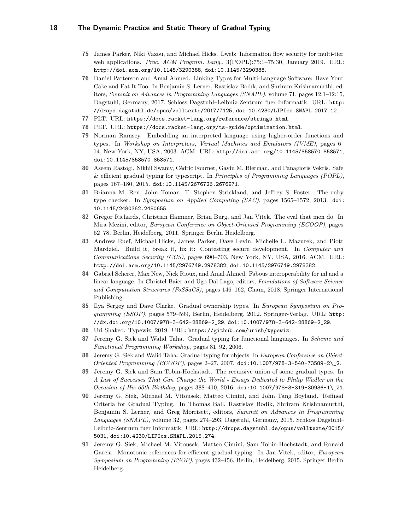- <span id="page-17-15"></span>**75** James Parker, Niki Vazou, and Michael Hicks. Lweb: Information flow security for multi-tier web applications. *Proc. ACM Program. Lang.*, 3(POPL):75:1–75:30, January 2019. URL: <http://doi.acm.org/10.1145/3290388>, [doi:10.1145/3290388](http://dx.doi.org/10.1145/3290388).
- <span id="page-17-13"></span>**76** Daniel Patterson and Amal Ahmed. Linking Types for Multi-Language Software: Have Your Cake and Eat It Too. In Benjamin S. Lerner, Rastislav Bodík, and Shriram Krishnamurthi, editors, *Summit on Advances in Programming Languages (SNAPL)*, volume 71, pages 12:1–12:15, Dagstuhl, Germany, 2017. Schloss Dagstuhl–Leibniz-Zentrum fuer Informatik. URL: [http:](http://drops.dagstuhl.de/opus/volltexte/2017/7125) [//drops.dagstuhl.de/opus/volltexte/2017/7125](http://drops.dagstuhl.de/opus/volltexte/2017/7125), [doi:10.4230/LIPIcs.SNAPL.2017.12](http://dx.doi.org/10.4230/LIPIcs.SNAPL.2017.12).
- <span id="page-17-9"></span>**77** PLT. URL: <https://docs.racket-lang.org/reference/strings.html>.
- <span id="page-17-12"></span>**78** PLT. URL: <https://docs.racket-lang.org/ts-guide/optimization.html>.
- <span id="page-17-11"></span>**79** Norman Ramsey. Embedding an interpreted language using higher-order functions and types. In *Workshop on Interpreters, Virtual Machines and Emulators (IVME)*, pages 6– 14, New York, NY, USA, 2003. ACM. URL: <http://doi.acm.org/10.1145/858570.858571>, [doi:10.1145/858570.858571](http://dx.doi.org/10.1145/858570.858571).
- <span id="page-17-2"></span>**80** Aseem Rastogi, Nikhil Swamy, Cédric Fournet, Gavin M. Bierman, and Panagiotis Vekris. Safe & efficient gradual typing for typescript. In *Principles of Programming Languages (POPL)*, pages 167–180, 2015. [doi:10.1145/2676726.2676971](http://dx.doi.org/10.1145/2676726.2676971).
- <span id="page-17-1"></span>**81** Brianna M. Ren, John Toman, T. Stephen Strickland, and Jeffrey S. Foster. The ruby type checker. In *Symposium on Applied Computing (SAC)*, pages 1565–1572, 2013. [doi:](http://dx.doi.org/10.1145/2480362.2480655) [10.1145/2480362.2480655](http://dx.doi.org/10.1145/2480362.2480655).
- <span id="page-17-3"></span>**82** Gregor Richards, Christian Hammer, Brian Burg, and Jan Vitek. The eval that men do. In Mira Mezini, editor, *European Conference on Object-Oriented Programming (ECOOP)*, pages 52–78, Berlin, Heidelberg, 2011. Springer Berlin Heidelberg.
- <span id="page-17-14"></span>**83** Andrew Ruef, Michael Hicks, James Parker, Dave Levin, Michelle L. Mazurek, and Piotr Mardziel. Build it, break it, fix it: Contesting secure development. In *Computer and Communications Security (CCS)*, pages 690–703, New York, NY, USA, 2016. ACM. URL: <http://doi.acm.org/10.1145/2976749.2978382>, [doi:10.1145/2976749.2978382](http://dx.doi.org/10.1145/2976749.2978382).
- <span id="page-17-16"></span>**84** Gabriel Scherer, Max New, Nick Rioux, and Amal Ahmed. Fabous interoperability for ml and a linear language. In Christel Baier and Ugo Dal Lago, editors, *Foundations of Software Science and Computation Structures (FoSSaCS)*, pages 146–162, Cham, 2018. Springer International Publishing.
- <span id="page-17-6"></span>**85** Ilya Sergey and Dave Clarke. Gradual ownership types. In *European Symposium on Programming (ESOP)*, pages 579–599, Berlin, Heidelberg, 2012. Springer-Verlag. URL: [http:](http://dx.doi.org/10.1007/978-3-642-28869-2_29) [//dx.doi.org/10.1007/978-3-642-28869-2\\_29](http://dx.doi.org/10.1007/978-3-642-28869-2_29), [doi:10.1007/978-3-642-28869-2\\_29](http://dx.doi.org/10.1007/978-3-642-28869-2_29).
- <span id="page-17-10"></span>**86** Uri Shaked. Typewiz, 2019. URL: <https://github.com/urish/typewiz>.
- <span id="page-17-0"></span>**87** Jeremy G. Siek and Walid Taha. Gradual typing for functional languages. In *Scheme and Functional Programming Workshop*, pages 81–92, 2006.
- <span id="page-17-5"></span>**88** Jeremy G. Siek and Walid Taha. Gradual typing for objects. In *European Conference on Object-Oriented Programming (ECOOP)*, pages 2–27, 2007. [doi:10.1007/978-3-540-73589-2\\\_2](http://dx.doi.org/10.1007/978-3-540-73589-2_2).
- <span id="page-17-7"></span>**89** Jeremy G. Siek and Sam Tobin-Hochstadt. The recursive union of some gradual types. In *A List of Successes That Can Change the World - Essays Dedicated to Philip Wadler on the Occasion of His 60th Birthday*, pages 388–410, 2016. [doi:10.1007/978-3-319-30936-1\\\_21](http://dx.doi.org/10.1007/978-3-319-30936-1_21).
- <span id="page-17-4"></span>**90** Jeremy G. Siek, Michael M. Vitousek, Matteo Cimini, and John Tang Boyland. Refined Criteria for Gradual Typing. In Thomas Ball, Rastislav Bodik, Shriram Krishnamurthi, Benjamin S. Lerner, and Greg Morrisett, editors, *Summit on Advances in Programming Languages (SNAPL)*, volume 32, pages 274–293, Dagstuhl, Germany, 2015. Schloss Dagstuhl– Leibniz-Zentrum fuer Informatik. URL: [http://drops.dagstuhl.de/opus/volltexte/2015/](http://drops.dagstuhl.de/opus/volltexte/2015/5031) [5031](http://drops.dagstuhl.de/opus/volltexte/2015/5031), [doi:10.4230/LIPIcs.SNAPL.2015.274](http://dx.doi.org/10.4230/LIPIcs.SNAPL.2015.274).
- <span id="page-17-8"></span>**91** Jeremy G. Siek, Michael M. Vitousek, Matteo Cimini, Sam Tobin-Hochstadt, and Ronald Garcia. Monotonic references for efficient gradual typing. In Jan Vitek, editor, *European Symposium on Programming (ESOP)*, pages 432–456, Berlin, Heidelberg, 2015. Springer Berlin Heidelberg.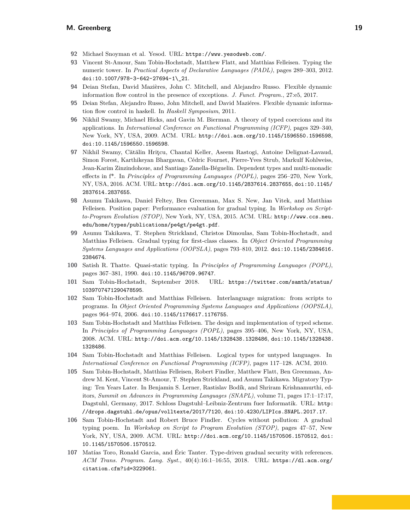- <span id="page-18-12"></span>**92** Michael Snoyman et al. Yesod. URL: <https://www.yesodweb.com/>.
- <span id="page-18-9"></span>**93** Vincent St-Amour, Sam Tobin-Hochstadt, Matthew Flatt, and Matthias Felleisen. Typing the numeric tower. In *Practical Aspects of Declarative Languages (PADL)*, pages 289–303, 2012. [doi:10.1007/978-3-642-27694-1\\\_21](http://dx.doi.org/10.1007/978-3-642-27694-1_21).
- <span id="page-18-14"></span>**94** Deian Stefan, David Mazières, John C. Mitchell, and Alejandro Russo. Flexible dynamic information flow control in the presence of exceptions. *J. Funct. Program.*, 27:e5, 2017.
- <span id="page-18-13"></span>**95** Deian Stefan, Alejandro Russo, John Mitchell, and David Maziéres. Flexible dynamic information flow control in haskell. In *Haskell Symposium*, 2011.
- <span id="page-18-10"></span>**96** Nikhil Swamy, Michael Hicks, and Gavin M. Bierman. A theory of typed coercions and its applications. In *International Conference on Functional Programming (ICFP)*, pages 329–340, New York, NY, USA, 2009. ACM. URL: <http://doi.acm.org/10.1145/1596550.1596598>, [doi:10.1145/1596550.1596598](http://dx.doi.org/10.1145/1596550.1596598).
- <span id="page-18-15"></span>**97** Nikhil Swamy, Cătălin Hriţcu, Chantal Keller, Aseem Rastogi, Antoine Delignat-Lavaud, Simon Forest, Karthikeyan Bhargavan, Cédric Fournet, Pierre-Yves Strub, Markulf Kohlweiss, Jean-Karim Zinzindohoue, and Santiago Zanella-Béguelin. Dependent types and multi-monadic effects in f\*. In *Principles of Programming Languages (POPL)*, pages 256–270, New York, NY, USA, 2016. ACM. URL: <http://doi.acm.org/10.1145/2837614.2837655>, [doi:10.1145/](http://dx.doi.org/10.1145/2837614.2837655) [2837614.2837655](http://dx.doi.org/10.1145/2837614.2837655).
- <span id="page-18-2"></span>**98** Asumu Takikawa, Daniel Feltey, Ben Greenman, Max S. New, Jan Vitek, and Matthias Felleisen. Position paper: Performance evaluation for gradual typing. In *Workshop on Scriptto-Program Evolution (STOP)*, New York, NY, USA, 2015. ACM. URL: [http://www.ccs.neu.](http://www.ccs.neu.edu/home/types/publications/pe4gt/pe4gt.pdf) [edu/home/types/publications/pe4gt/pe4gt.pdf](http://www.ccs.neu.edu/home/types/publications/pe4gt/pe4gt.pdf).
- <span id="page-18-6"></span>**99** Asumu Takikawa, T. Stephen Strickland, Christos Dimoulas, Sam Tobin-Hochstadt, and Matthias Felleisen. Gradual typing for first-class classes. In *Object Oriented Programming Systems Languages and Applications (OOPSLA)*, pages 793–810, 2012. [doi:10.1145/2384616.](http://dx.doi.org/10.1145/2384616.2384674) [2384674](http://dx.doi.org/10.1145/2384616.2384674).
- <span id="page-18-4"></span>**100** Satish R. Thatte. Quasi-static typing. In *Principles of Programming Languages (POPL)*, pages 367–381, 1990. [doi:10.1145/96709.96747](http://dx.doi.org/10.1145/96709.96747).
- <span id="page-18-1"></span>**101** Sam Tobin-Hochstadt, September 2018. URL: [https://twitter.com/samth/status/](https://twitter.com/samth/status/1039707471290478595) [1039707471290478595](https://twitter.com/samth/status/1039707471290478595).
- <span id="page-18-0"></span>**102** Sam Tobin-Hochstadt and Matthias Felleisen. Interlanguage migration: from scripts to programs. In *Object Oriented Programming Systems Languages and Applications (OOPSLA)*, pages 964–974, 2006. [doi:10.1145/1176617.1176755](http://dx.doi.org/10.1145/1176617.1176755).
- <span id="page-18-3"></span>**103** Sam Tobin-Hochstadt and Matthias Felleisen. The design and implementation of typed scheme. In *Principles of Programming Languages (POPL)*, pages 395–406, New York, NY, USA, 2008. ACM. URL: <http://doi.acm.org/10.1145/1328438.1328486>, [doi:10.1145/1328438.](http://dx.doi.org/10.1145/1328438.1328486) [1328486](http://dx.doi.org/10.1145/1328438.1328486).
- <span id="page-18-5"></span>**104** Sam Tobin-Hochstadt and Matthias Felleisen. Logical types for untyped languages. In *International Conference on Functional Programming (ICFP)*, pages 117–128. ACM, 2010.
- <span id="page-18-11"></span>**105** Sam Tobin-Hochstadt, Matthias Felleisen, Robert Findler, Matthew Flatt, Ben Greenman, Andrew M. Kent, Vincent St-Amour, T. Stephen Strickland, and Asumu Takikawa. Migratory Typing: Ten Years Later. In Benjamin S. Lerner, Rastislav Bodík, and Shriram Krishnamurthi, editors, *Summit on Advances in Programming Languages (SNAPL)*, volume 71, pages 17:1–17:17, Dagstuhl, Germany, 2017. Schloss Dagstuhl–Leibniz-Zentrum fuer Informatik. URL: [http:](http://drops.dagstuhl.de/opus/volltexte/2017/7120) [//drops.dagstuhl.de/opus/volltexte/2017/7120](http://drops.dagstuhl.de/opus/volltexte/2017/7120), [doi:10.4230/LIPIcs.SNAPL.2017.17](http://dx.doi.org/10.4230/LIPIcs.SNAPL.2017.17).
- <span id="page-18-7"></span>**106** Sam Tobin-Hochstadt and Robert Bruce Findler. Cycles without pollution: A gradual typing poem. In *Workshop on Script to Program Evolution (STOP)*, pages 47–57, New York, NY, USA, 2009. ACM. URL: <http://doi.acm.org/10.1145/1570506.1570512>, [doi:](http://dx.doi.org/10.1145/1570506.1570512) [10.1145/1570506.1570512](http://dx.doi.org/10.1145/1570506.1570512).
- <span id="page-18-8"></span>**107** Matías Toro, Ronald Garcia, and Éric Tanter. Type-driven gradual security with references. *ACM Trans. Program. Lang. Syst.*, 40(4):16:1–16:55, 2018. URL: [https://dl.acm.org/](https://dl.acm.org/citation.cfm?id=3229061) [citation.cfm?id=3229061](https://dl.acm.org/citation.cfm?id=3229061).